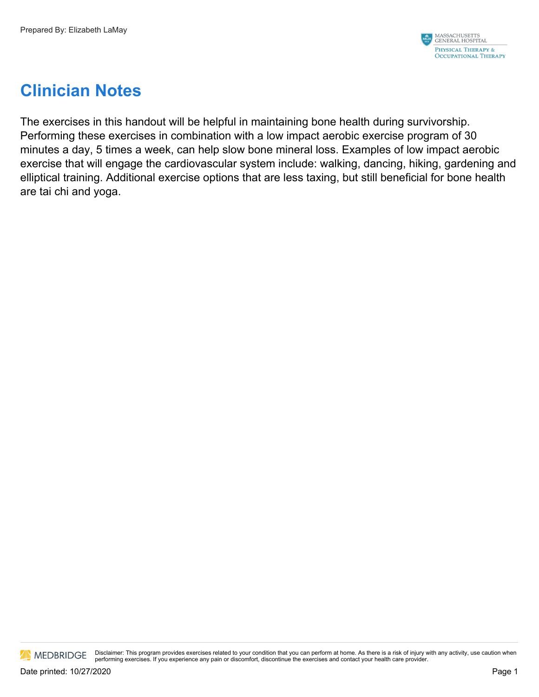

# **Clinician Notes**

The exercises in this handout will be helpful in maintaining bone health during survivorship. Performing these exercises in combination with a low impact aerobic exercise program of 30 minutes a day, 5 times a week, can help slow bone mineral loss. Examples of low impact aerobic exercise that will engage the cardiovascular system include: walking, dancing, hiking, gardening and elliptical training. Additional exercise options that are less taxing, but still beneficial for bone health are tai chi and yoga.

**AN** MEDBRIDGE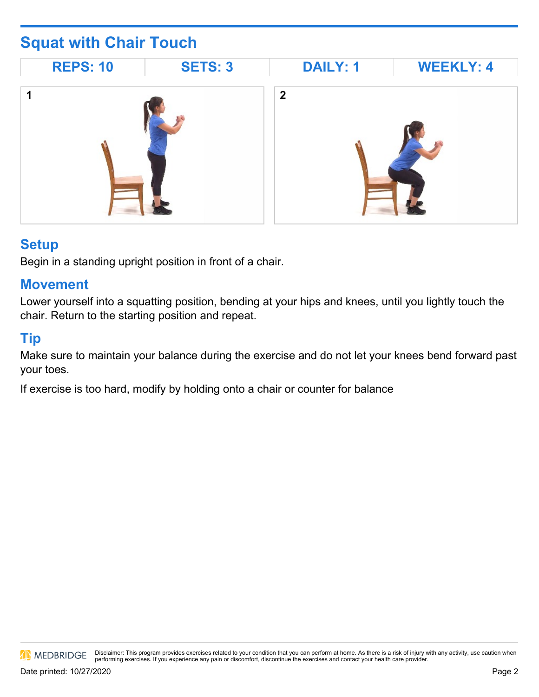# **Squat with Chair Touch**



### **Setup**

Begin in a standing upright position in front of a chair.

#### **Movement**

Lower yourself into a squatting position, bending at your hips and knees, until you lightly touch the chair. Return to the starting position and repeat.

### **Tip**

Make sure to maintain your balance during the exercise and do not let your knees bend forward past your toes.

If exercise is too hard, modify by holding onto a chair or counter for balance

MEDBRIDGE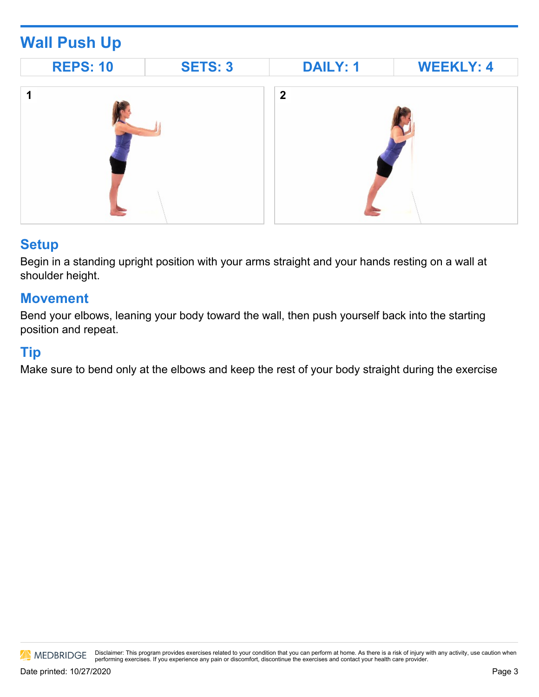# **Wall Push Up**



#### **Setup**

Begin in a standing upright position with your arms straight and your hands resting on a wall at shoulder height.

### **Movement**

Bend your elbows, leaning your body toward the wall, then push yourself back into the starting position and repeat.

#### **Tip**

Make sure to bend only at the elbows and keep the rest of your body straight during the exercise

MEDBRIDGE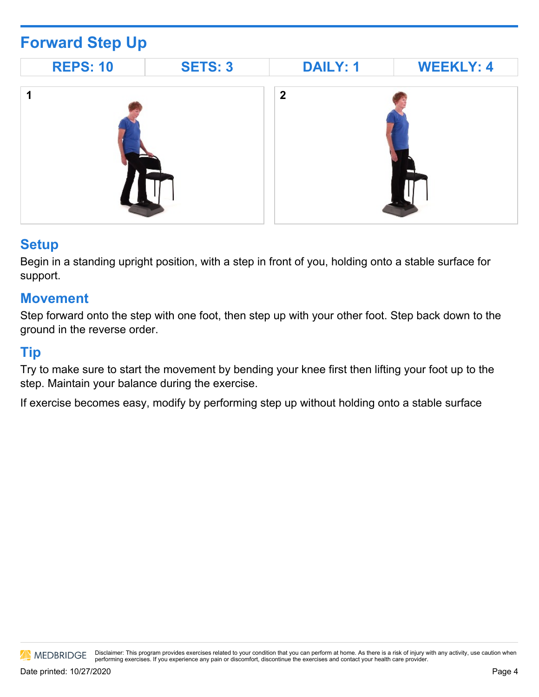# **Forward Step Up**



#### **Setup**

Begin in a standing upright position, with a step in front of you, holding onto a stable surface for support.

#### **Movement**

Step forward onto the step with one foot, then step up with your other foot. Step back down to the ground in the reverse order.

#### **Tip**

Try to make sure to start the movement by bending your knee first then lifting your foot up to the step. Maintain your balance during the exercise.

If exercise becomes easy, modify by performing step up without holding onto a stable surface

MEDBRIDGE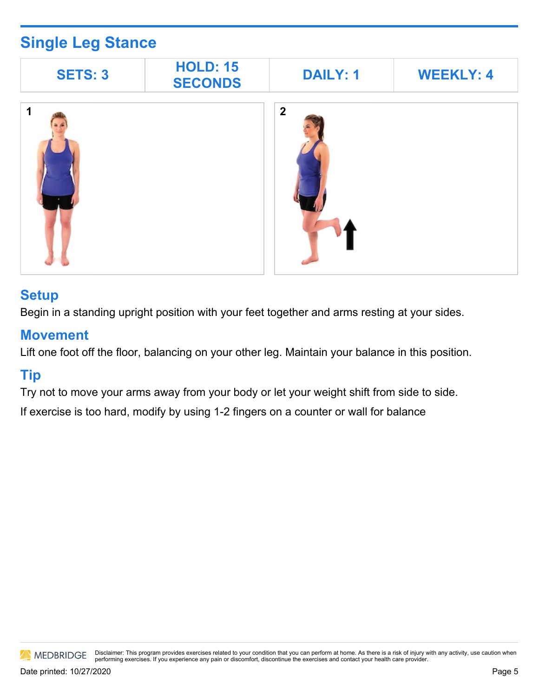# **Single Leg Stance**

| <b>SETS: 3</b> | <b>HOLD: 15</b><br><b>SECONDS</b> | <b>DAILY: 1</b> | <b>WEEKLY: 4</b> |
|----------------|-----------------------------------|-----------------|------------------|
| 4              |                                   | $\overline{2}$  |                  |

#### **Setup**

Begin in a standing upright position with your feet together and arms resting at your sides.

#### **Movement**

Lift one foot off the floor, balancing on your other leg. Maintain your balance in this position.

### **Tip**

Try not to move your arms away from your body or let your weight shift from side to side.

If exercise is too hard, modify by using 1-2 fingers on a counter or wall for balance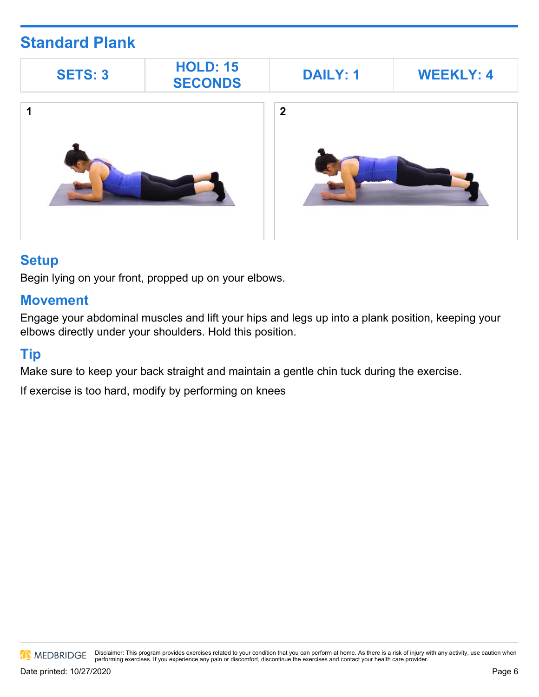## **Standard Plank**



#### **Setup**

Begin lying on your front, propped up on your elbows.

#### **Movement**

Engage your abdominal muscles and lift your hips and legs up into a plank position, keeping your elbows directly under your shoulders. Hold this position.

### **Tip**

Make sure to keep your back straight and maintain a gentle chin tuck during the exercise.

If exercise is too hard, modify by performing on knees

MEDBRIDGE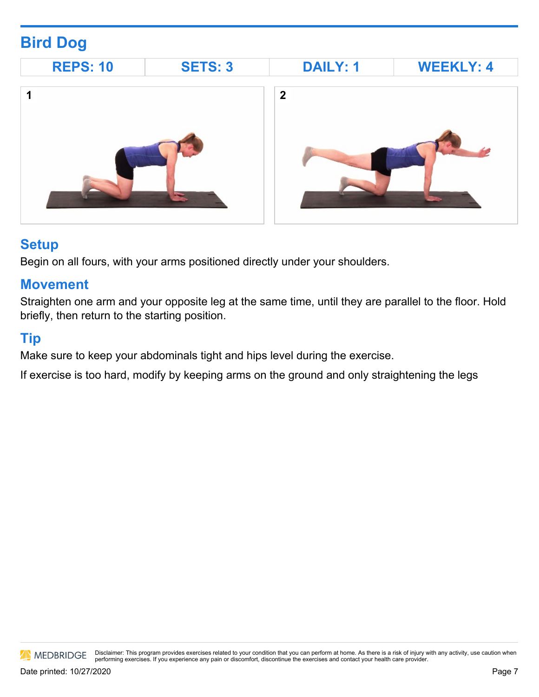# **Bird Dog**



### **Setup**

Begin on all fours, with your arms positioned directly under your shoulders.

### **Movement**

Straighten one arm and your opposite leg at the same time, until they are parallel to the floor. Hold briefly, then return to the starting position.

## **Tip**

Make sure to keep your abdominals tight and hips level during the exercise.

If exercise is too hard, modify by keeping arms on the ground and only straightening the legs

MEDBRIDGE